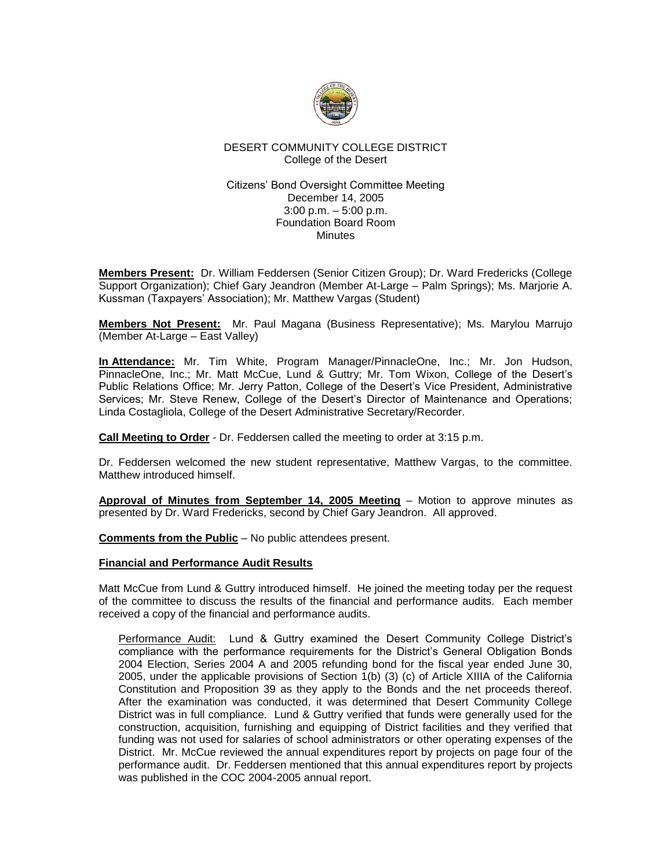

# DESERT COMMUNITY COLLEGE DISTRICT College of the Desert

## Citizens' Bond Oversight Committee Meeting December 14, 2005 3:00 p.m. – 5:00 p.m. Foundation Board Room **Minutes**

**Members Present:** Dr. William Feddersen (Senior Citizen Group); Dr. Ward Fredericks (College Support Organization); Chief Gary Jeandron (Member At-Large – Palm Springs); Ms. Marjorie A. Kussman (Taxpayers' Association); Mr. Matthew Vargas (Student)

**Members Not Present:** Mr. Paul Magana (Business Representative); Ms. Marylou Marrujo (Member At-Large – East Valley)

**In Attendance:** Mr. Tim White, Program Manager/PinnacleOne, Inc.; Mr. Jon Hudson, PinnacleOne, Inc.; Mr. Matt McCue, Lund & Guttry; Mr. Tom Wixon, College of the Desert's Public Relations Office; Mr. Jerry Patton, College of the Desert's Vice President, Administrative Services; Mr. Steve Renew, College of the Desert's Director of Maintenance and Operations; Linda Costagliola, College of the Desert Administrative Secretary/Recorder.

**Call Meeting to Order** - Dr. Feddersen called the meeting to order at 3:15 p.m.

Dr. Feddersen welcomed the new student representative, Matthew Vargas, to the committee. Matthew introduced himself.

**Approval of Minutes from September 14, 2005 Meeting** – Motion to approve minutes as presented by Dr. Ward Fredericks, second by Chief Gary Jeandron. All approved.

**Comments from the Public** – No public attendees present.

## **Financial and Performance Audit Results**

Matt McCue from Lund & Guttry introduced himself. He joined the meeting today per the request of the committee to discuss the results of the financial and performance audits. Each member received a copy of the financial and performance audits.

Performance Audit: Lund & Guttry examined the Desert Community College District's compliance with the performance requirements for the District's General Obligation Bonds 2004 Election, Series 2004 A and 2005 refunding bond for the fiscal year ended June 30, 2005, under the applicable provisions of Section 1(b) (3) (c) of Article XIIIA of the California Constitution and Proposition 39 as they apply to the Bonds and the net proceeds thereof. After the examination was conducted, it was determined that Desert Community College District was in full compliance. Lund & Guttry verified that funds were generally used for the construction, acquisition, furnishing and equipping of District facilities and they verified that funding was not used for salaries of school administrators or other operating expenses of the District. Mr. McCue reviewed the annual expenditures report by projects on page four of the performance audit. Dr. Feddersen mentioned that this annual expenditures report by projects was published in the COC 2004-2005 annual report.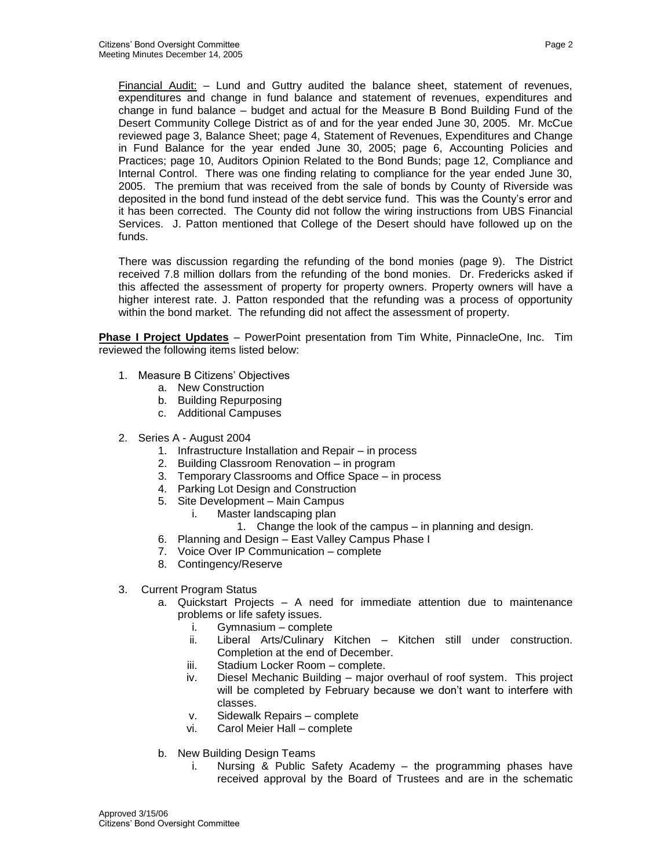Financial Audit: – Lund and Guttry audited the balance sheet, statement of revenues, expenditures and change in fund balance and statement of revenues, expenditures and change in fund balance – budget and actual for the Measure B Bond Building Fund of the Desert Community College District as of and for the year ended June 30, 2005. Mr. McCue reviewed page 3, Balance Sheet; page 4, Statement of Revenues, Expenditures and Change in Fund Balance for the year ended June 30, 2005; page 6, Accounting Policies and Practices; page 10, Auditors Opinion Related to the Bond Bunds; page 12, Compliance and Internal Control. There was one finding relating to compliance for the year ended June 30, 2005. The premium that was received from the sale of bonds by County of Riverside was deposited in the bond fund instead of the debt service fund. This was the County's error and it has been corrected. The County did not follow the wiring instructions from UBS Financial Services. J. Patton mentioned that College of the Desert should have followed up on the funds.

There was discussion regarding the refunding of the bond monies (page 9). The District received 7.8 million dollars from the refunding of the bond monies. Dr. Fredericks asked if this affected the assessment of property for property owners. Property owners will have a higher interest rate. J. Patton responded that the refunding was a process of opportunity within the bond market. The refunding did not affect the assessment of property.

**Phase I Project Updates** – PowerPoint presentation from Tim White, PinnacleOne, Inc. Tim reviewed the following items listed below:

- 1. Measure B Citizens' Objectives
	- a. New Construction
	- b. Building Repurposing
	- c. Additional Campuses
- 2. Series A August 2004
	- 1. Infrastructure Installation and Repair in process
	- 2. Building Classroom Renovation in program
	- 3. Temporary Classrooms and Office Space in process
	- 4. Parking Lot Design and Construction
	- 5. Site Development Main Campus
		- i. Master landscaping plan
			- 1. Change the look of the campus in planning and design.
	- 6. Planning and Design East Valley Campus Phase I
	- 7. Voice Over IP Communication complete
	- 8. Contingency/Reserve
- 3. Current Program Status
	- a. Quickstart Projects A need for immediate attention due to maintenance problems or life safety issues.
		- i. Gymnasium complete
		- ii. Liberal Arts/Culinary Kitchen Kitchen still under construction. Completion at the end of December.
		- iii. Stadium Locker Room complete.
		- iv. Diesel Mechanic Building major overhaul of roof system. This project will be completed by February because we don't want to interfere with classes.
		- v. Sidewalk Repairs complete
		- vi. Carol Meier Hall complete
	- b. New Building Design Teams
		- i. Nursing & Public Safety Academy the programming phases have received approval by the Board of Trustees and are in the schematic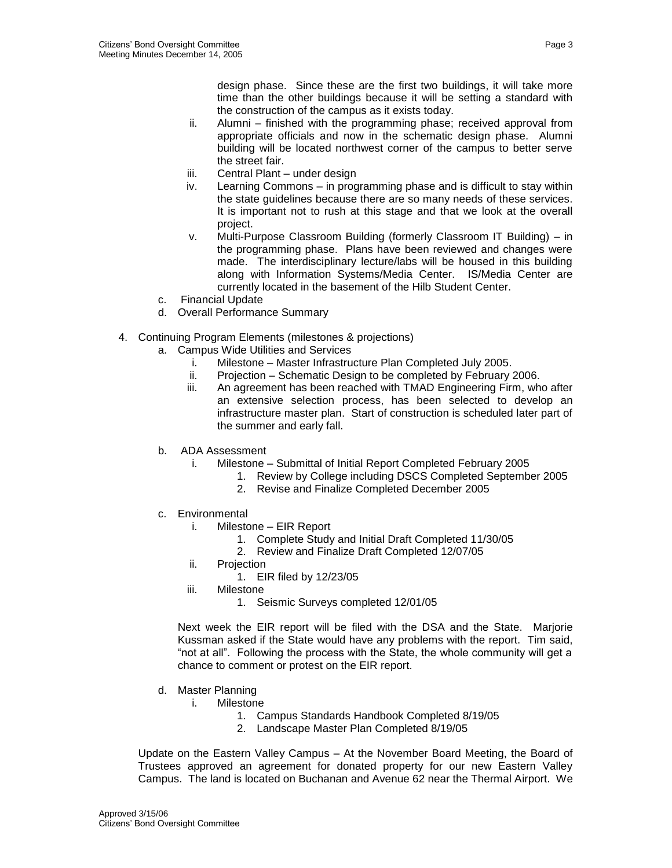design phase. Since these are the first two buildings, it will take more time than the other buildings because it will be setting a standard with the construction of the campus as it exists today.

- ii. Alumni finished with the programming phase; received approval from appropriate officials and now in the schematic design phase. Alumni building will be located northwest corner of the campus to better serve the street fair.
- iii. Central Plant under design
- iv. Learning Commons in programming phase and is difficult to stay within the state guidelines because there are so many needs of these services. It is important not to rush at this stage and that we look at the overall project.
- v. Multi-Purpose Classroom Building (formerly Classroom IT Building) in the programming phase. Plans have been reviewed and changes were made. The interdisciplinary lecture/labs will be housed in this building along with Information Systems/Media Center. IS/Media Center are currently located in the basement of the Hilb Student Center.
- c. Financial Update
- d. Overall Performance Summary
- 4. Continuing Program Elements (milestones & projections)
	- a. Campus Wide Utilities and Services
		- i. Milestone Master Infrastructure Plan Completed July 2005.
		- ii. Projection Schematic Design to be completed by February 2006.
		- iii. An agreement has been reached with TMAD Engineering Firm, who after an extensive selection process, has been selected to develop an infrastructure master plan. Start of construction is scheduled later part of the summer and early fall.
	- b. ADA Assessment
		- i. Milestone Submittal of Initial Report Completed February 2005
			- 1. Review by College including DSCS Completed September 2005
			- 2. Revise and Finalize Completed December 2005
	- c. Environmental
		- i. Milestone EIR Report
			- 1. Complete Study and Initial Draft Completed 11/30/05
			- 2. Review and Finalize Draft Completed 12/07/05
		- ii. Projection
			- 1. EIR filed by 12/23/05
		- iii. Milestone
			- 1. Seismic Surveys completed 12/01/05

Next week the EIR report will be filed with the DSA and the State. Marjorie Kussman asked if the State would have any problems with the report. Tim said, "not at all". Following the process with the State, the whole community will get a chance to comment or protest on the EIR report.

- d. Master Planning
	- i. Milestone
		- 1. Campus Standards Handbook Completed 8/19/05
		- 2. Landscape Master Plan Completed 8/19/05

Update on the Eastern Valley Campus – At the November Board Meeting, the Board of Trustees approved an agreement for donated property for our new Eastern Valley Campus. The land is located on Buchanan and Avenue 62 near the Thermal Airport. We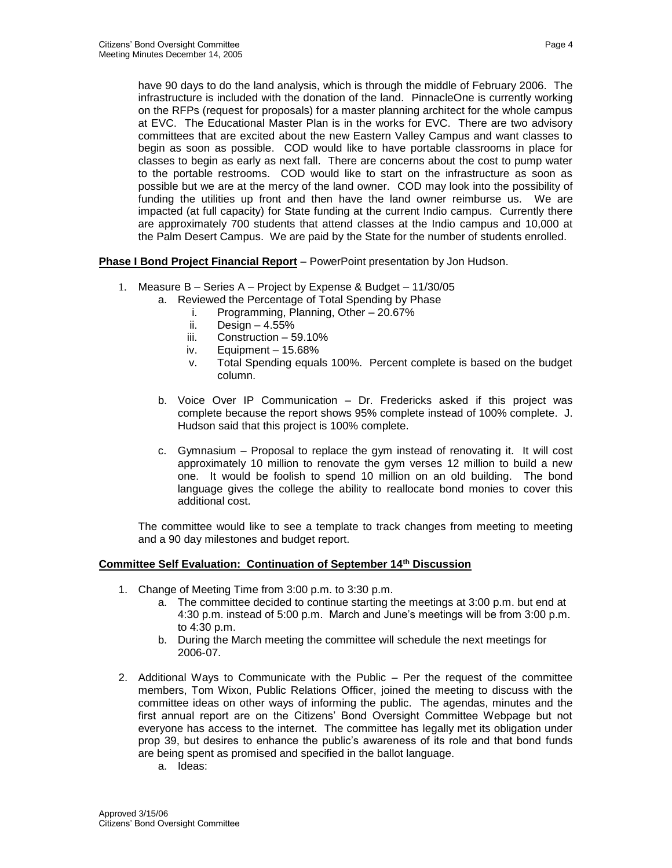have 90 days to do the land analysis, which is through the middle of February 2006. The infrastructure is included with the donation of the land. PinnacleOne is currently working on the RFPs (request for proposals) for a master planning architect for the whole campus at EVC. The Educational Master Plan is in the works for EVC. There are two advisory committees that are excited about the new Eastern Valley Campus and want classes to begin as soon as possible. COD would like to have portable classrooms in place for classes to begin as early as next fall. There are concerns about the cost to pump water to the portable restrooms. COD would like to start on the infrastructure as soon as possible but we are at the mercy of the land owner. COD may look into the possibility of funding the utilities up front and then have the land owner reimburse us. We are impacted (at full capacity) for State funding at the current Indio campus. Currently there are approximately 700 students that attend classes at the Indio campus and 10,000 at

the Palm Desert Campus. We are paid by the State for the number of students enrolled.

**Phase I Bond Project Financial Report** – PowerPoint presentation by Jon Hudson.

- 1. Measure B Series A Project by Expense & Budget 11/30/05
	- a. Reviewed the Percentage of Total Spending by Phase
		- i. Programming, Planning, Other 20.67%
		- ii. Design  $-4.55%$
		- iii. Construction 59.10%
		- iv. Equipment 15.68%
		- v. Total Spending equals 100%. Percent complete is based on the budget column.
	- b. Voice Over IP Communication Dr. Fredericks asked if this project was complete because the report shows 95% complete instead of 100% complete. J. Hudson said that this project is 100% complete.
	- c. Gymnasium Proposal to replace the gym instead of renovating it. It will cost approximately 10 million to renovate the gym verses 12 million to build a new one. It would be foolish to spend 10 million on an old building. The bond language gives the college the ability to reallocate bond monies to cover this additional cost.

The committee would like to see a template to track changes from meeting to meeting and a 90 day milestones and budget report.

## **Committee Self Evaluation: Continuation of September 14th Discussion**

- 1. Change of Meeting Time from 3:00 p.m. to 3:30 p.m.
	- a. The committee decided to continue starting the meetings at 3:00 p.m. but end at 4:30 p.m. instead of 5:00 p.m. March and June's meetings will be from 3:00 p.m. to 4:30 p.m.
	- b. During the March meeting the committee will schedule the next meetings for 2006-07.
- 2. Additional Ways to Communicate with the Public Per the request of the committee members, Tom Wixon, Public Relations Officer, joined the meeting to discuss with the committee ideas on other ways of informing the public. The agendas, minutes and the first annual report are on the Citizens' Bond Oversight Committee Webpage but not everyone has access to the internet. The committee has legally met its obligation under prop 39, but desires to enhance the public's awareness of its role and that bond funds are being spent as promised and specified in the ballot language.
	- a. Ideas: